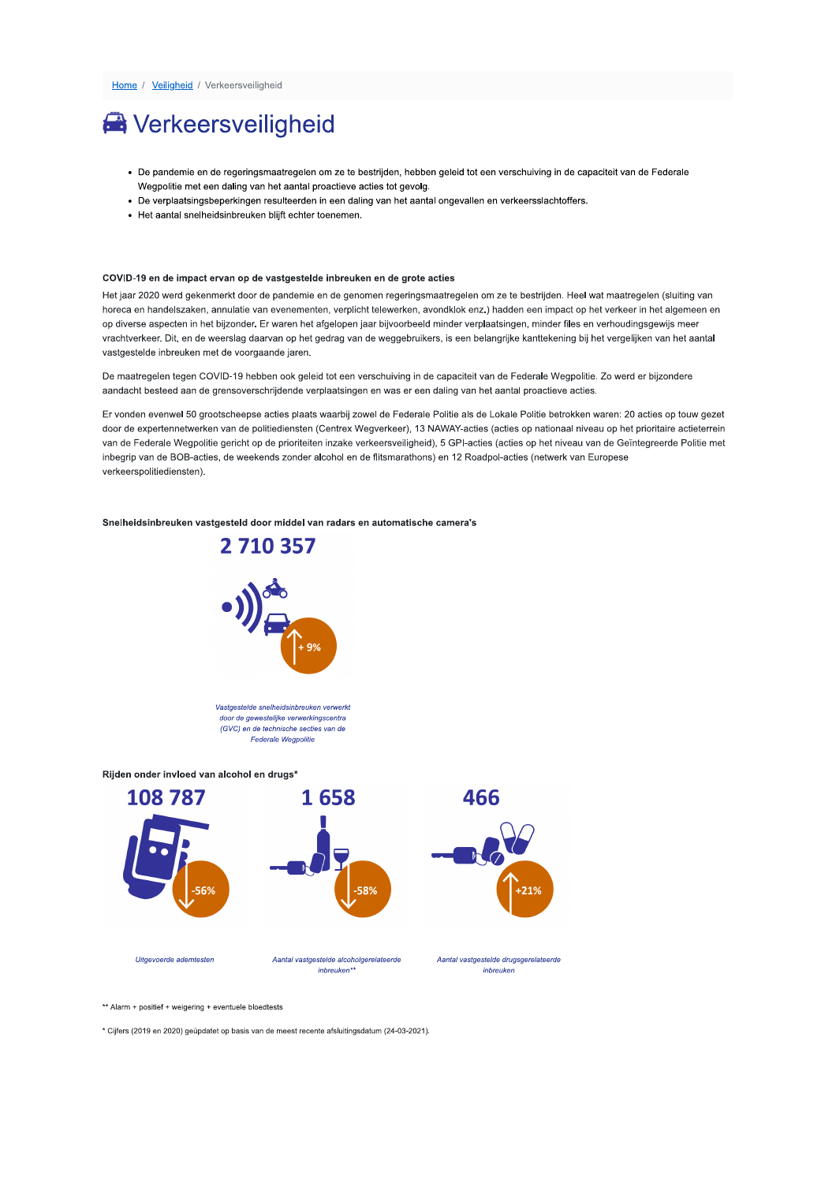# **N** Verkeersveiligheid

- · De pandemie en de regeringsmaatregelen om ze te bestrijden, hebben geleid tot een verschuiving in de capaciteit van de Federale Wegpolitie met een daling van het aantal proactieve acties tot gevolg.
- · De verplaatsingsbeperkingen resulteerden in een daling van het aantal ongevallen en verkeersslachtoffers.
- Het aantal snelheidsinbreuken blijft echter toenemen.

### COVID-19 en de impact ervan op de vastgestelde inbreuken en de grote acties

Het jaar 2020 werd gekenmerkt door de pandemie en de genomen regeringsmaatregelen om ze te bestrijden. Heel wat maatregelen (sluiting van horeca en handelszaken, annulatie van evenementen, verplicht telewerken, avondklok enz.) hadden een impact op het verkeer in het algemeen en op diverse aspecten in het bijzonder. Er waren het afgelopen jaar bijvoorbeeld minder verplaatsingen, minder files en verhoudingsgewijs meer vrachtverkeer. Dit, en de weerslag daarvan op het gedrag van de weggebruikers, is een belangrijke kanttekening bij het vergelijken van het aantal vastgestelde inbreuken met de voorgaande jaren.

De maatregelen tegen COVID-19 hebben ook geleid tot een verschuiving in de capaciteit van de Federale Wegpolitie. Zo werd er bijzondere aandacht besteed aan de grensoverschrijdende verplaatsingen en was er een daling van het aantal proactieve acties.

Er vonden evenwel 50 grootscheepse acties plaats waarbij zowel de Federale Politie als de Lokale Politie betrokken waren: 20 acties op touw gezet door de expertennetwerken van de politiediensten (Centrex Wegverkeer), 13 NAWAY-acties (acties op nationaal niveau op het prioritaire actieterrein van de Federale Wegpolitie gericht op de prioriteiten inzake verkeersveiligheid), 5 GPI-acties (acties op het niveau van de Geïntegreerde Politie met inbegrip van de BOB-acties, de weekends zonder alcohol en de flitsmarathons) en 12 Roadpol-acties (netwerk van Europese verkeerspolitiediensten).

### Snelheidsinbreuken vastgesteld door middel van radars en automatische camera's



Vastgestelde snelheidsinbreuken verwerkt door de gewestelijke verwerkingscentra (GVC) en de technische secties van de **Federale Wegnolitie** 

## Rijden onder invloed van alcohol en drugs\*



\*\* Alarm + positief + weigering + eventuele bloedtests

\* Ciifers (2019 en 2020) geündatet op basis van de meest recente afsluitingsdatum (24-03-2021).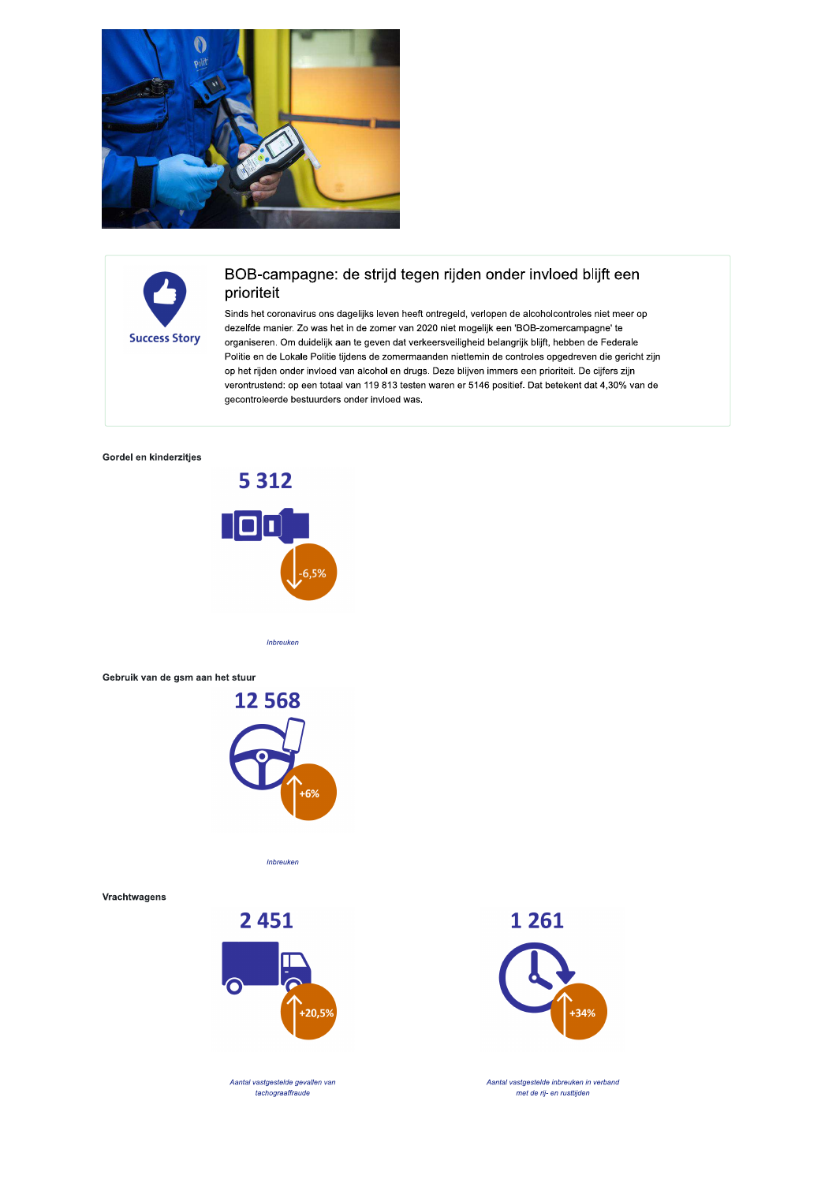



## BOB-campagne: de strijd tegen rijden onder invloed blijft een prioriteit

Sinds het coronavirus ons dagelijks leven heeft ontregeld, verlopen de alcoholcontroles niet meer op dezelfde manier. Zo was het in de zomer van 2020 niet mogelijk een 'BOB-zomercampagne' te organiseren. Om duidelijk aan te geven dat verkeersveiligheid belangrijk blijft, hebben de Federale Politie en de Lokale Politie tijdens de zomermaanden niettemin de controles opgedreven die gericht zijn op het rijden onder invloed van alcohol en drugs. Deze blijven immers een prioriteit. De cijfers zijn verontrustend: op een totaal van 119 813 testen waren er 5146 positief. Dat betekent dat 4,30% van de gecontroleerde bestuurders onder invloed was.

## Gordel en kinderzitjes



Inbreuken

## Gebruik van de gsm aan het stuur



Inbreuken

Vrachtwagens



Aantal vastgestelde gevallen van tachograaffraude

1 2 6 1



Aantal vastgestelde inbreuken in verband met de rij- en rusttijden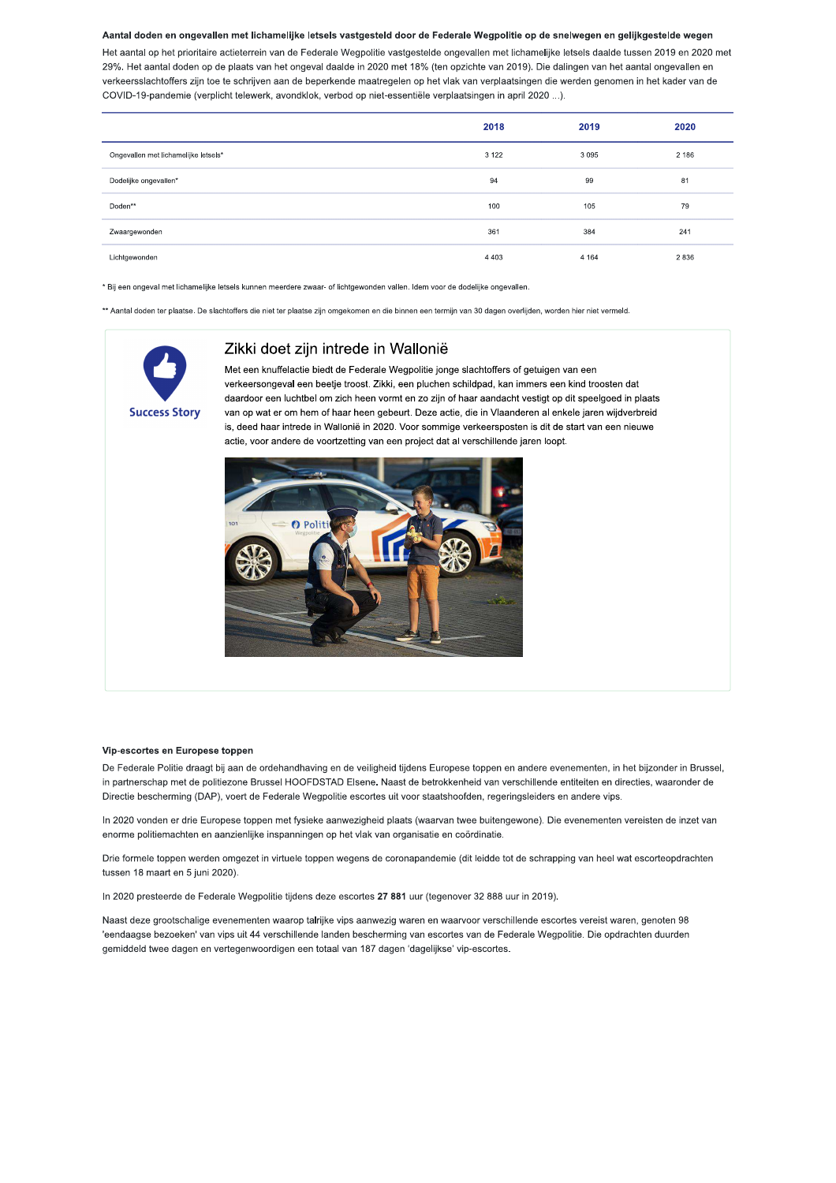## Aantal doden en ongevallen met lichamelijke letsels vastgesteld door de Federale Wegpolitie op de snelwegen en gelijkgestelde wegen

Het aantal op het prioritaire actieterrein van de Federale Wegpolitie vastgestelde ongevallen met lichamelijke letsels daalde tussen 2019 en 2020 met 29%. Het aantal doden op de plaats van het ongeval daalde in 2020 met 18% (ten opzichte van 2019). Die dalingen van het aantal ongevallen en verkeersslachtoffers zijn toe te schrijven aan de beperkende maatregelen op het vlak van verplaatsingen die werden genomen in het kader van de COVID-19-pandemie (verplicht telewerk, avondklok, verbod op niet-essentiële verplaatsingen in april 2020 ...).

|                                      | 2018    | 2019    | 2020    |
|--------------------------------------|---------|---------|---------|
| Ongevallen met lichamelijke letsels* | 3 1 2 2 | 3 0 9 5 | 2 1 8 6 |
| Dodelijke ongevallen*                | 94      | 99      | 81      |
| Doden**                              | 100     | 105     | 79      |
| Zwaargewonden                        | 361     | 384     | 241     |
| Lichtgewonden                        | 4 4 0 3 | 4 1 6 4 | 2836    |

\* Bij een ongeval met lichamelijke letsels kunnen meerdere zwaar- of lichtgewonden vallen. Idem voor de dodelijke ongevallen.

\*\* Aantal doden ter plaatse. De slachtoffers die niet ter plaatse zijn omgekomen en die binnen een termijn van 30 dagen overlijden, worden hier niet vermeld.



## Zikki doet zijn intrede in Wallonië

Met een knuffelactie biedt de Federale Wegpolitie jonge slachtoffers of getuigen van een verkeersongeval een beetie troost. Zikki, een pluchen schildpad, kan immers een kind troosten dat daardoor een luchtbel om zich heen vormt en zo zijn of haar aandacht vestigt op dit speelgoed in plaats van op wat er om hem of haar heen gebeurt. Deze actie, die in Vlaanderen al enkele jaren wijdverbreid is, deed haar intrede in Wallonië in 2020. Voor sommige verkeersposten is dit de start van een nieuwe actie, voor andere de voortzetting van een project dat al verschillende jaren loopt.



#### Vin-escortes en Europese toppen

De Federale Politie draagt bij aan de ordehandhaving en de veiligheid tijdens Europese toppen en andere evenementen, in het bijzonder in Brussel, in partnerschap met de politiezone Brussel HOOFDSTAD Elsene. Naast de betrokkenheid van verschillende entiteiten en directies, waaronder de Directie bescherming (DAP), voert de Federale Wegpolitie escortes uit voor staatshoofden, regeringsleiders en andere vips.

In 2020 vonden er drie Europese toppen met fysieke aanwezigheid plaats (waarvan twee buitengewone). Die evenementen vereisten de inzet van enorme politiemachten en aanzienlijke inspanningen op het vlak van organisatie en coördinatie.

Drie formele toppen werden omgezet in virtuele toppen wegens de coronapandemie (dit leidde tot de schrapping van heel wat escorteopdrachten tussen 18 maart en 5 juni 2020).

In 2020 presteerde de Federale Wegpolitie tijdens deze escortes 27 881 uur (tegenover 32 888 uur in 2019).

Naast deze grootschalige evenementen waarop talrijke vips aanwezig waren en waarvoor verschillende escortes vereist waren, genoten 98 'eendaagse bezoeken' van vips uit 44 verschillende landen bescherming van escortes van de Federale Wegpolitie. Die opdrachten duurden gemiddeld twee dagen en vertegenwoordigen een totaal van 187 dagen 'dagelijkse' vip-escortes.